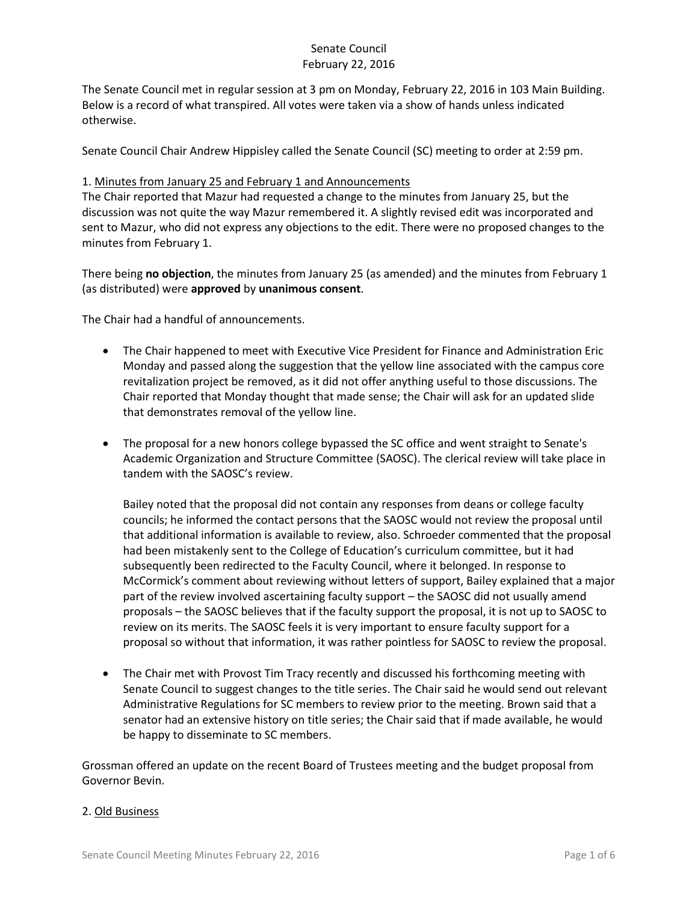The Senate Council met in regular session at 3 pm on Monday, February 22, 2016 in 103 Main Building. Below is a record of what transpired. All votes were taken via a show of hands unless indicated otherwise.

Senate Council Chair Andrew Hippisley called the Senate Council (SC) meeting to order at 2:59 pm.

### 1. Minutes from January 25 and February 1 and Announcements

The Chair reported that Mazur had requested a change to the minutes from January 25, but the discussion was not quite the way Mazur remembered it. A slightly revised edit was incorporated and sent to Mazur, who did not express any objections to the edit. There were no proposed changes to the minutes from February 1.

There being **no objection**, the minutes from January 25 (as amended) and the minutes from February 1 (as distributed) were **approved** by **unanimous consent**.

The Chair had a handful of announcements.

- The Chair happened to meet with Executive Vice President for Finance and Administration Eric Monday and passed along the suggestion that the yellow line associated with the campus core revitalization project be removed, as it did not offer anything useful to those discussions. The Chair reported that Monday thought that made sense; the Chair will ask for an updated slide that demonstrates removal of the yellow line.
- The proposal for a new honors college bypassed the SC office and went straight to Senate's Academic Organization and Structure Committee (SAOSC). The clerical review will take place in tandem with the SAOSC's review.

Bailey noted that the proposal did not contain any responses from deans or college faculty councils; he informed the contact persons that the SAOSC would not review the proposal until that additional information is available to review, also. Schroeder commented that the proposal had been mistakenly sent to the College of Education's curriculum committee, but it had subsequently been redirected to the Faculty Council, where it belonged. In response to McCormick's comment about reviewing without letters of support, Bailey explained that a major part of the review involved ascertaining faculty support – the SAOSC did not usually amend proposals – the SAOSC believes that if the faculty support the proposal, it is not up to SAOSC to review on its merits. The SAOSC feels it is very important to ensure faculty support for a proposal so without that information, it was rather pointless for SAOSC to review the proposal.

• The Chair met with Provost Tim Tracy recently and discussed his forthcoming meeting with Senate Council to suggest changes to the title series. The Chair said he would send out relevant Administrative Regulations for SC members to review prior to the meeting. Brown said that a senator had an extensive history on title series; the Chair said that if made available, he would be happy to disseminate to SC members.

Grossman offered an update on the recent Board of Trustees meeting and the budget proposal from Governor Bevin.

### 2. Old Business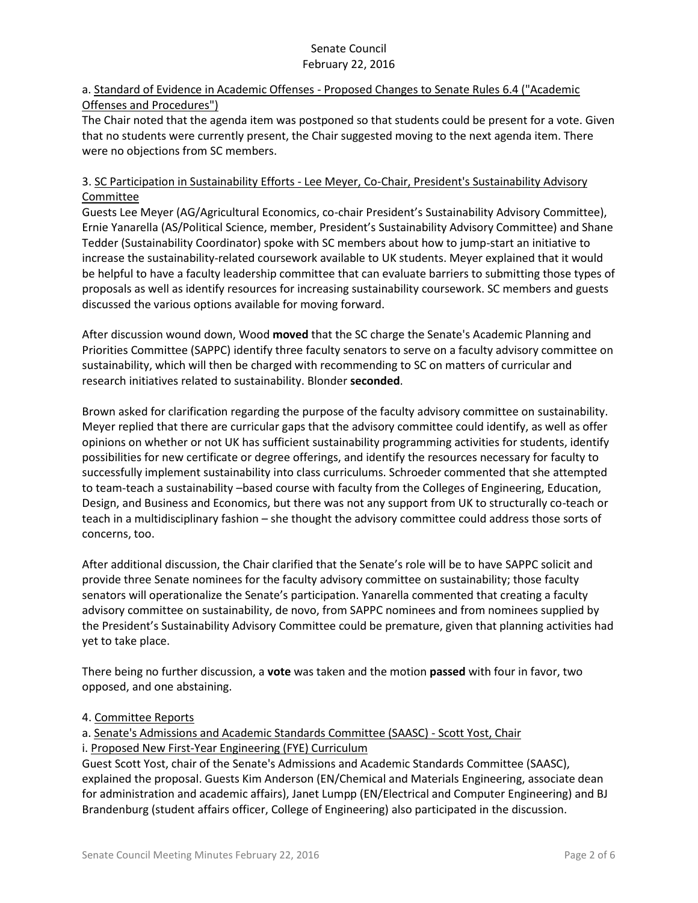## a. Standard of Evidence in Academic Offenses - Proposed Changes to Senate Rules 6.4 ("Academic Offenses and Procedures")

The Chair noted that the agenda item was postponed so that students could be present for a vote. Given that no students were currently present, the Chair suggested moving to the next agenda item. There were no objections from SC members.

## 3. SC Participation in Sustainability Efforts - Lee Meyer, Co-Chair, President's Sustainability Advisory Committee

Guests Lee Meyer (AG/Agricultural Economics, co-chair President's Sustainability Advisory Committee), Ernie Yanarella (AS/Political Science, member, President's Sustainability Advisory Committee) and Shane Tedder (Sustainability Coordinator) spoke with SC members about how to jump-start an initiative to increase the sustainability-related coursework available to UK students. Meyer explained that it would be helpful to have a faculty leadership committee that can evaluate barriers to submitting those types of proposals as well as identify resources for increasing sustainability coursework. SC members and guests discussed the various options available for moving forward.

After discussion wound down, Wood **moved** that the SC charge the Senate's Academic Planning and Priorities Committee (SAPPC) identify three faculty senators to serve on a faculty advisory committee on sustainability, which will then be charged with recommending to SC on matters of curricular and research initiatives related to sustainability. Blonder **seconded**.

Brown asked for clarification regarding the purpose of the faculty advisory committee on sustainability. Meyer replied that there are curricular gaps that the advisory committee could identify, as well as offer opinions on whether or not UK has sufficient sustainability programming activities for students, identify possibilities for new certificate or degree offerings, and identify the resources necessary for faculty to successfully implement sustainability into class curriculums. Schroeder commented that she attempted to team-teach a sustainability –based course with faculty from the Colleges of Engineering, Education, Design, and Business and Economics, but there was not any support from UK to structurally co-teach or teach in a multidisciplinary fashion – she thought the advisory committee could address those sorts of concerns, too.

After additional discussion, the Chair clarified that the Senate's role will be to have SAPPC solicit and provide three Senate nominees for the faculty advisory committee on sustainability; those faculty senators will operationalize the Senate's participation. Yanarella commented that creating a faculty advisory committee on sustainability, de novo, from SAPPC nominees and from nominees supplied by the President's Sustainability Advisory Committee could be premature, given that planning activities had yet to take place.

There being no further discussion, a **vote** was taken and the motion **passed** with four in favor, two opposed, and one abstaining.

# 4. Committee Reports

a. Senate's Admissions and Academic Standards Committee (SAASC) - Scott Yost, Chair

### i. Proposed New First-Year Engineering (FYE) Curriculum

Guest Scott Yost, chair of the Senate's Admissions and Academic Standards Committee (SAASC), explained the proposal. Guests Kim Anderson (EN/Chemical and Materials Engineering, associate dean for administration and academic affairs), Janet Lumpp (EN/Electrical and Computer Engineering) and BJ Brandenburg (student affairs officer, College of Engineering) also participated in the discussion.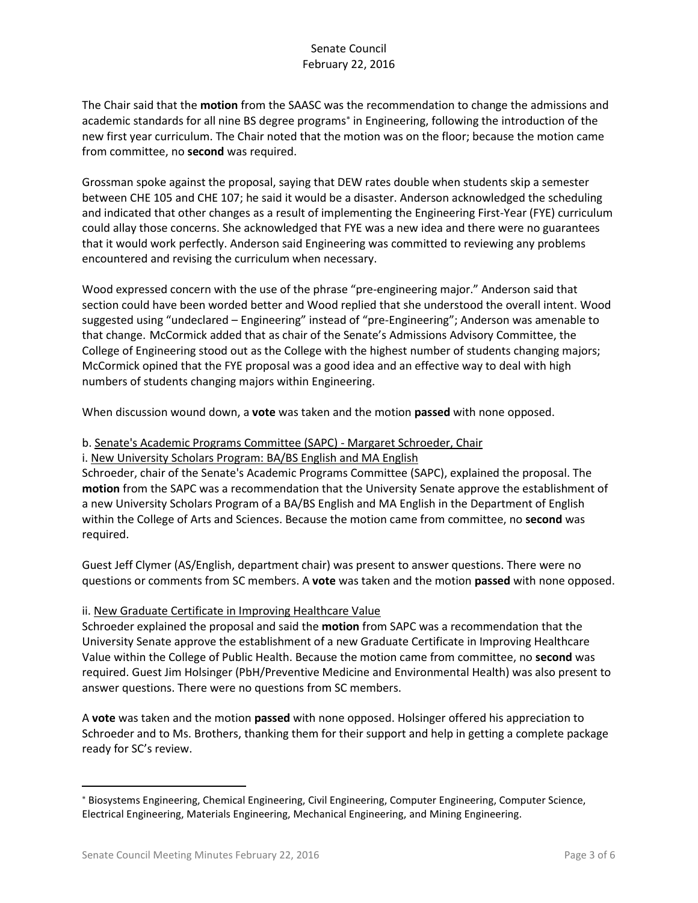The Chair said that the **motion** from the SAASC was the recommendation to change the admissions and academic standards for all nine BS degree programs<sup>\*</sup> in Engineering, following the introduction of the new first year curriculum. The Chair noted that the motion was on the floor; because the motion came from committee, no **second** was required.

Grossman spoke against the proposal, saying that DEW rates double when students skip a semester between CHE 105 and CHE 107; he said it would be a disaster. Anderson acknowledged the scheduling and indicated that other changes as a result of implementing the Engineering First-Year (FYE) curriculum could allay those concerns. She acknowledged that FYE was a new idea and there were no guarantees that it would work perfectly. Anderson said Engineering was committed to reviewing any problems encountered and revising the curriculum when necessary.

Wood expressed concern with the use of the phrase "pre-engineering major." Anderson said that section could have been worded better and Wood replied that she understood the overall intent. Wood suggested using "undeclared – Engineering" instead of "pre-Engineering"; Anderson was amenable to that change. McCormick added that as chair of the Senate's Admissions Advisory Committee, the College of Engineering stood out as the College with the highest number of students changing majors; McCormick opined that the FYE proposal was a good idea and an effective way to deal with high numbers of students changing majors within Engineering.

When discussion wound down, a **vote** was taken and the motion **passed** with none opposed.

#### b. Senate's Academic Programs Committee (SAPC) - Margaret Schroeder, Chair

i. New University Scholars Program: BA/BS English and MA English

Schroeder, chair of the Senate's Academic Programs Committee (SAPC), explained the proposal. The **motion** from the SAPC was a recommendation that the University Senate approve the establishment of a new University Scholars Program of a BA/BS English and MA English in the Department of English within the College of Arts and Sciences. Because the motion came from committee, no **second** was required.

Guest Jeff Clymer (AS/English, department chair) was present to answer questions. There were no questions or comments from SC members. A **vote** was taken and the motion **passed** with none opposed.

### ii. New Graduate Certificate in Improving Healthcare Value

Schroeder explained the proposal and said the **motion** from SAPC was a recommendation that the University Senate approve the establishment of a new Graduate Certificate in Improving Healthcare Value within the College of Public Health. Because the motion came from committee, no **second** was required. Guest Jim Holsinger (PbH/Preventive Medicine and Environmental Health) was also present to answer questions. There were no questions from SC members.

A **vote** was taken and the motion **passed** with none opposed. Holsinger offered his appreciation to Schroeder and to Ms. Brothers, thanking them for their support and help in getting a complete package ready for SC's review.

 $\overline{\phantom{a}}$ 

<sup>\*</sup> Biosystems Engineering, Chemical Engineering, Civil Engineering, Computer Engineering, Computer Science, Electrical Engineering, Materials Engineering, Mechanical Engineering, and Mining Engineering.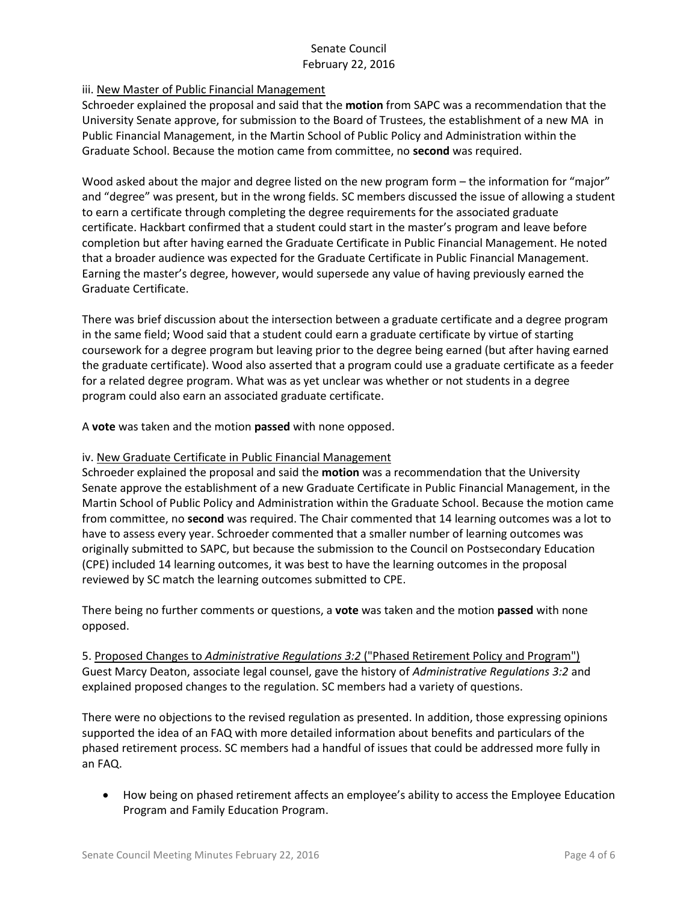## iii. New Master of Public Financial Management

Schroeder explained the proposal and said that the **motion** from SAPC was a recommendation that the University Senate approve, for submission to the Board of Trustees, the establishment of a new MA in Public Financial Management, in the Martin School of Public Policy and Administration within the Graduate School. Because the motion came from committee, no **second** was required.

Wood asked about the major and degree listed on the new program form – the information for "major" and "degree" was present, but in the wrong fields. SC members discussed the issue of allowing a student to earn a certificate through completing the degree requirements for the associated graduate certificate. Hackbart confirmed that a student could start in the master's program and leave before completion but after having earned the Graduate Certificate in Public Financial Management. He noted that a broader audience was expected for the Graduate Certificate in Public Financial Management. Earning the master's degree, however, would supersede any value of having previously earned the Graduate Certificate.

There was brief discussion about the intersection between a graduate certificate and a degree program in the same field; Wood said that a student could earn a graduate certificate by virtue of starting coursework for a degree program but leaving prior to the degree being earned (but after having earned the graduate certificate). Wood also asserted that a program could use a graduate certificate as a feeder for a related degree program. What was as yet unclear was whether or not students in a degree program could also earn an associated graduate certificate.

A **vote** was taken and the motion **passed** with none opposed.

## iv. New Graduate Certificate in Public Financial Management

Schroeder explained the proposal and said the **motion** was a recommendation that the University Senate approve the establishment of a new Graduate Certificate in Public Financial Management, in the Martin School of Public Policy and Administration within the Graduate School. Because the motion came from committee, no **second** was required. The Chair commented that 14 learning outcomes was a lot to have to assess every year. Schroeder commented that a smaller number of learning outcomes was originally submitted to SAPC, but because the submission to the Council on Postsecondary Education (CPE) included 14 learning outcomes, it was best to have the learning outcomes in the proposal reviewed by SC match the learning outcomes submitted to CPE.

There being no further comments or questions, a **vote** was taken and the motion **passed** with none opposed.

5. Proposed Changes to *Administrative Regulations 3:2* ("Phased Retirement Policy and Program") Guest Marcy Deaton, associate legal counsel, gave the history of *Administrative Regulations 3:2* and explained proposed changes to the regulation. SC members had a variety of questions.

There were no objections to the revised regulation as presented. In addition, those expressing opinions supported the idea of an FAQ with more detailed information about benefits and particulars of the phased retirement process. SC members had a handful of issues that could be addressed more fully in an FAQ.

 How being on phased retirement affects an employee's ability to access the Employee Education Program and Family Education Program.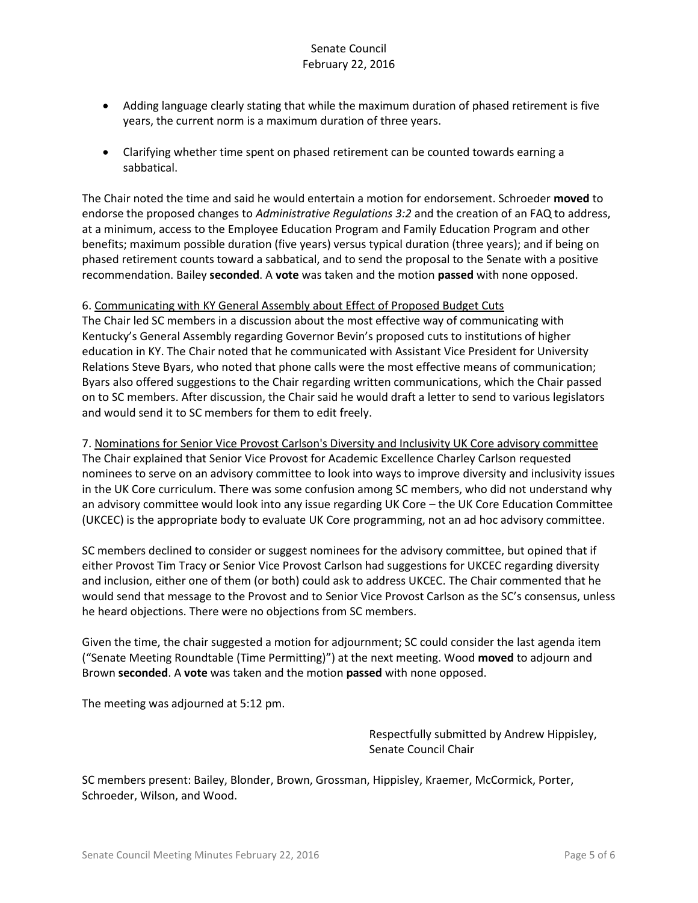- Adding language clearly stating that while the maximum duration of phased retirement is five years, the current norm is a maximum duration of three years.
- Clarifying whether time spent on phased retirement can be counted towards earning a sabbatical.

The Chair noted the time and said he would entertain a motion for endorsement. Schroeder **moved** to endorse the proposed changes to *Administrative Regulations 3:2* and the creation of an FAQ to address, at a minimum, access to the Employee Education Program and Family Education Program and other benefits; maximum possible duration (five years) versus typical duration (three years); and if being on phased retirement counts toward a sabbatical, and to send the proposal to the Senate with a positive recommendation. Bailey **seconded**. A **vote** was taken and the motion **passed** with none opposed.

## 6. Communicating with KY General Assembly about Effect of Proposed Budget Cuts

The Chair led SC members in a discussion about the most effective way of communicating with Kentucky's General Assembly regarding Governor Bevin's proposed cuts to institutions of higher education in KY. The Chair noted that he communicated with Assistant Vice President for University Relations Steve Byars, who noted that phone calls were the most effective means of communication; Byars also offered suggestions to the Chair regarding written communications, which the Chair passed on to SC members. After discussion, the Chair said he would draft a letter to send to various legislators and would send it to SC members for them to edit freely.

7. Nominations for Senior Vice Provost Carlson's Diversity and Inclusivity UK Core advisory committee The Chair explained that Senior Vice Provost for Academic Excellence Charley Carlson requested nominees to serve on an advisory committee to look into ways to improve diversity and inclusivity issues in the UK Core curriculum. There was some confusion among SC members, who did not understand why an advisory committee would look into any issue regarding UK Core – the UK Core Education Committee (UKCEC) is the appropriate body to evaluate UK Core programming, not an ad hoc advisory committee.

SC members declined to consider or suggest nominees for the advisory committee, but opined that if either Provost Tim Tracy or Senior Vice Provost Carlson had suggestions for UKCEC regarding diversity and inclusion, either one of them (or both) could ask to address UKCEC. The Chair commented that he would send that message to the Provost and to Senior Vice Provost Carlson as the SC's consensus, unless he heard objections. There were no objections from SC members.

Given the time, the chair suggested a motion for adjournment; SC could consider the last agenda item ("Senate Meeting Roundtable (Time Permitting)") at the next meeting. Wood **moved** to adjourn and Brown **seconded**. A **vote** was taken and the motion **passed** with none opposed.

The meeting was adjourned at 5:12 pm.

Respectfully submitted by Andrew Hippisley, Senate Council Chair

SC members present: Bailey, Blonder, Brown, Grossman, Hippisley, Kraemer, McCormick, Porter, Schroeder, Wilson, and Wood.